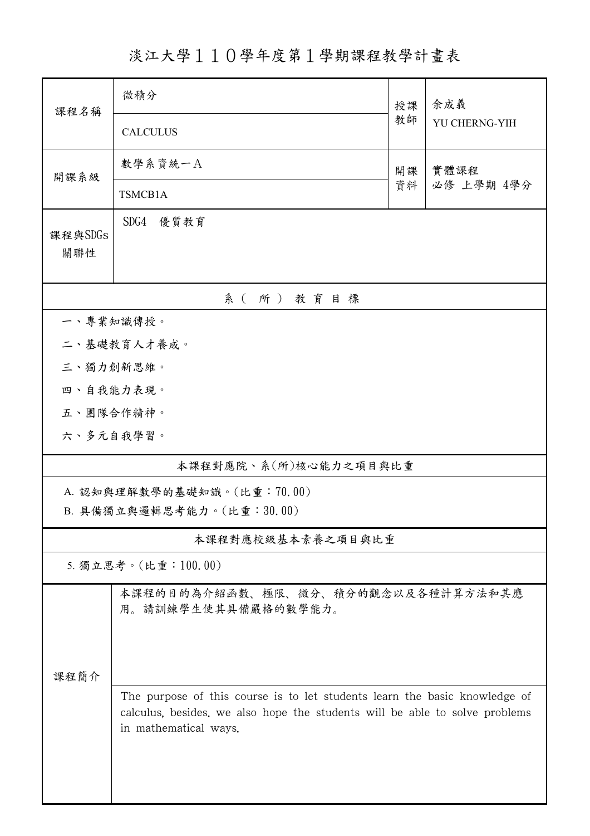淡江大學110學年度第1學期課程教學計畫表

| 課程名稱                       | 微積分<br>授課                                                                                                                                                                          |    | 余成義           |  |  |  |
|----------------------------|------------------------------------------------------------------------------------------------------------------------------------------------------------------------------------|----|---------------|--|--|--|
|                            | <b>CALCULUS</b>                                                                                                                                                                    | 教師 | YU CHERNG-YIH |  |  |  |
| 開課系級                       | 數學系資統一A<br>實體課程<br>開課                                                                                                                                                              |    |               |  |  |  |
|                            | TSMCB1A                                                                                                                                                                            | 資料 | 必修 上學期 4學分    |  |  |  |
| 課程與SDGs<br>關聯性             | 優質教育<br>SDG4                                                                                                                                                                       |    |               |  |  |  |
| 系(所)教育目標                   |                                                                                                                                                                                    |    |               |  |  |  |
| 一、專業知識傳授。                  |                                                                                                                                                                                    |    |               |  |  |  |
|                            | 二、基礎教育人才養成。                                                                                                                                                                        |    |               |  |  |  |
| 三、獨力創新思維。                  |                                                                                                                                                                                    |    |               |  |  |  |
| 四、自我能力表現。                  |                                                                                                                                                                                    |    |               |  |  |  |
| 五、團隊合作精神。                  |                                                                                                                                                                                    |    |               |  |  |  |
| 六、多元自我學習。                  |                                                                                                                                                                                    |    |               |  |  |  |
| 本課程對應院、系(所)核心能力之項目與比重      |                                                                                                                                                                                    |    |               |  |  |  |
| A. 認知與理解數學的基礎知識。(比重:70.00) |                                                                                                                                                                                    |    |               |  |  |  |
| B. 具備獨立與邏輯思考能力。(比重:30.00)  |                                                                                                                                                                                    |    |               |  |  |  |
| 本課程對應校級基本素養之項目與比重          |                                                                                                                                                                                    |    |               |  |  |  |
| 5. 獨立思考。(比重:100.00)        |                                                                                                                                                                                    |    |               |  |  |  |
|                            | 本課程的目的為介紹函數、極限、微分、積分的觀念以及各種計算方法和其應<br>用。請訓練學生使其具備嚴格的數學能力。                                                                                                                          |    |               |  |  |  |
| 課程簡介                       |                                                                                                                                                                                    |    |               |  |  |  |
|                            | The purpose of this course is to let students learn the basic knowledge of<br>calculus, besides, we also hope the students will be able to solve problems<br>in mathematical ways. |    |               |  |  |  |
|                            |                                                                                                                                                                                    |    |               |  |  |  |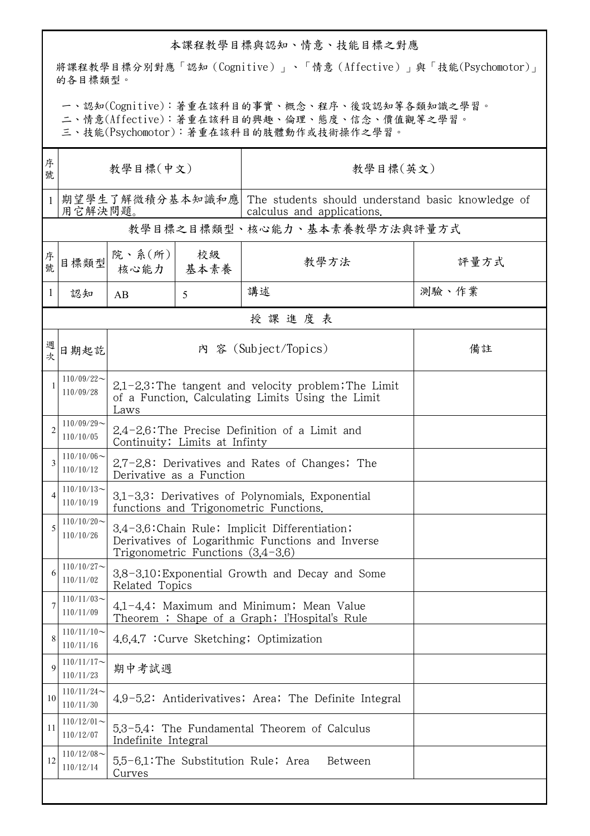## 本課程教學目標與認知、情意、技能目標之對應

將課程教學目標分別對應「認知(Cognitive)」、「情意(Affective)」與「技能(Psychomotor)」 的各目標類型。

一、認知(Cognitive):著重在該科目的事實、概念、程序、後設認知等各類知識之學習。

二、情意(Affective):著重在該科目的興趣、倫理、態度、信念、價值觀等之學習。

三、技能(Psychomotor):著重在該科目的肢體動作或技術操作之學習。

| 序<br>號       | 教學目標(中文)                      |                                                                                                                                           |                                                       | 教學目標(英文)                                                                        |       |  |  |  |
|--------------|-------------------------------|-------------------------------------------------------------------------------------------------------------------------------------------|-------------------------------------------------------|---------------------------------------------------------------------------------|-------|--|--|--|
|              | 期望學生了解微積分基本知識和應 <br>用它解決問題。   |                                                                                                                                           |                                                       | The students should understand basic knowledge of<br>calculus and applications. |       |  |  |  |
|              |                               |                                                                                                                                           |                                                       | 教學目標之目標類型、核心能力、基本素養教學方法與評量方式                                                    |       |  |  |  |
| 序號           | 目標類型                          | 院、系 $(\text{m})$<br>核心能力   基本素養                                                                                                           | 校級                                                    | 教學方法                                                                            | 評量方式  |  |  |  |
| 1            | 認知                            | AB                                                                                                                                        | 5                                                     | 講述                                                                              | 測驗、作業 |  |  |  |
|              | 授課進度表                         |                                                                                                                                           |                                                       |                                                                                 |       |  |  |  |
| 週次           | 日期起訖                          | 內 容 (Subject/Topics)                                                                                                                      |                                                       |                                                                                 | 備註    |  |  |  |
| $\mathbf{1}$ | $110/09/22$ ~<br>110/09/28    | $2.1 - 2.3$ : The tangent and velocity problem; The Limit<br>of a Function, Calculating Limits Using the Limit<br>Laws                    |                                                       |                                                                                 |       |  |  |  |
| 2            | $110/09/29$ ~<br>110/10/05    | 2.4-2.6: The Precise Definition of a Limit and<br>Continuity; Limits at Infinty                                                           |                                                       |                                                                                 |       |  |  |  |
| 3            | $110/10/06 \sim$<br>110/10/12 | 2.7-2.8: Derivatives and Rates of Changes; The<br>Derivative as a Function                                                                |                                                       |                                                                                 |       |  |  |  |
| 4            | $110/10/13$ ~<br>110/10/19    | 3.1-3.3: Derivatives of Polynomials, Exponential<br>functions and Trigonometric Functions.                                                |                                                       |                                                                                 |       |  |  |  |
| 5            | $110/10/20$ ~<br>110/10/26    | 3.4-3.6: Chain Rule; Implicit Differentiation;<br>Derivatives of Logarithmic Functions and Inverse<br>Trigonometric Functions $(3,4-3,6)$ |                                                       |                                                                                 |       |  |  |  |
| 6            | $110/10/27$ ~<br>110/11/02    | 3.8-3.10: Exponential Growth and Decay and Some<br>Related Topics                                                                         |                                                       |                                                                                 |       |  |  |  |
| 7            | $110/11/03$ ~<br>110/11/09    | 4.1-4.4: Maximum and Minimum; Mean Value<br>Theorem ; Shape of a Graph; l'Hospital's Rule                                                 |                                                       |                                                                                 |       |  |  |  |
| 8            | $110/11/10$ ~<br>110/11/16    | 4.6.4.7 : Curve Sketching; Optimization                                                                                                   |                                                       |                                                                                 |       |  |  |  |
| 9            | $110/11/17$ ~<br>110/11/23    | 期中考試週                                                                                                                                     |                                                       |                                                                                 |       |  |  |  |
| 10           | $110/11/24$ ~<br>110/11/30    |                                                                                                                                           | 4.9-5.2: Antiderivatives; Area; The Definite Integral |                                                                                 |       |  |  |  |
| 11           | $110/12/01$ ~<br>110/12/07    | 5.3-5.4: The Fundamental Theorem of Calculus<br>Indefinite Integral                                                                       |                                                       |                                                                                 |       |  |  |  |
| 12           | $110/12/08$ ~<br>110/12/14    | 5.5-6.1: The Substitution Rule; Area<br>Between<br>Curves                                                                                 |                                                       |                                                                                 |       |  |  |  |
|              |                               |                                                                                                                                           |                                                       |                                                                                 |       |  |  |  |